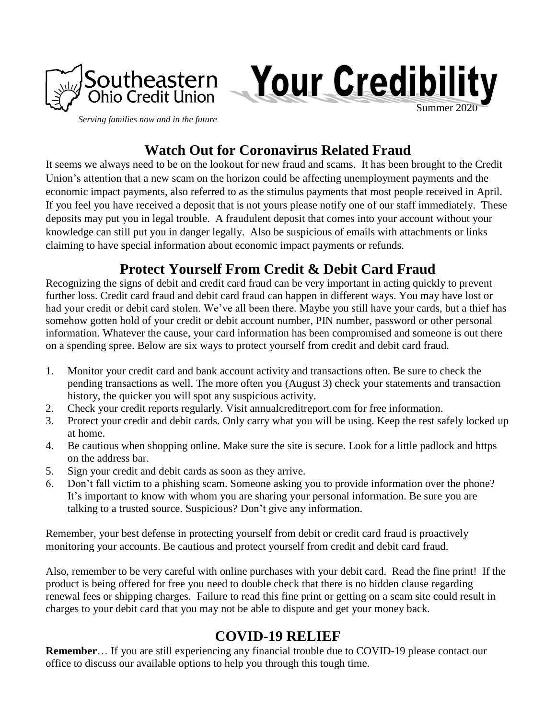



*Serving families now and in the future*

# **Watch Out for Coronavirus Related Fraud**

It seems we always need to be on the lookout for new fraud and scams. It has been brought to the Credit Union's attention that a new scam on the horizon could be affecting unemployment payments and the economic impact payments, also referred to as the stimulus payments that most people received in April. If you feel you have received a deposit that is not yours please notify one of our staff immediately. These deposits may put you in legal trouble. A fraudulent deposit that comes into your account without your knowledge can still put you in danger legally. Also be suspicious of emails with attachments or links claiming to have special information about economic impact payments or refunds.

# **Protect Yourself From Credit & Debit Card Fraud**

Recognizing the signs of debit and credit card fraud can be very important in acting quickly to prevent further loss. Credit card fraud and debit card fraud can happen in different ways. You may have lost or had your credit or debit card stolen. We've all been there. Maybe you still have your cards, but a thief has somehow gotten hold of your credit or debit account number, PIN number, password or other personal information. Whatever the cause, your card information has been compromised and someone is out there on a spending spree. Below are six ways to protect yourself from credit and debit card fraud.

- 1. Monitor your credit card and bank account activity and transactions often. Be sure to check the pending transactions as well. The more often you (August 3) check your statements and transaction history, the quicker you will spot any suspicious activity.
- 2. Check your credit reports regularly. Visit annualcreditreport.com for free information.
- 3. Protect your credit and debit cards. Only carry what you will be using. Keep the rest safely locked up at home.
- 4. Be cautious when shopping online. Make sure the site is secure. Look for a little padlock and https on the address bar.
- 5. Sign your credit and debit cards as soon as they arrive.
- 6. Don't fall victim to a phishing scam. Someone asking you to provide information over the phone? It's important to know with whom you are sharing your personal information. Be sure you are talking to a trusted source. Suspicious? Don't give any information.

Remember, your best defense in protecting yourself from debit or credit card fraud is proactively monitoring your accounts. Be cautious and protect yourself from credit and debit card fraud.

Also, remember to be very careful with online purchases with your debit card. Read the fine print! If the product is being offered for free you need to double check that there is no hidden clause regarding renewal fees or shipping charges. Failure to read this fine print or getting on a scam site could result in charges to your debit card that you may not be able to dispute and get your money back.

## **COVID-19 RELIEF**

**Remember**… If you are still experiencing any financial trouble due to COVID-19 please contact our office to discuss our available options to help you through this tough time.